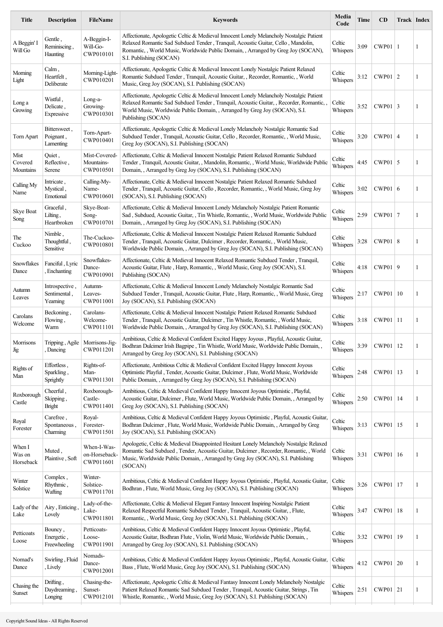| <b>Title</b>                  | <b>Description</b>                          | <b>FileName</b>                           | <b>Keywords</b>                                                                                                                                                                                                                                                                             | Media<br>Code      | <b>Time</b> | CD          | <b>Track Index</b> |   |
|-------------------------------|---------------------------------------------|-------------------------------------------|---------------------------------------------------------------------------------------------------------------------------------------------------------------------------------------------------------------------------------------------------------------------------------------------|--------------------|-------------|-------------|--------------------|---|
| A Beggin' I<br>Will Go        | Gentle,<br>Reminiscing,<br><b>Haunting</b>  | A-Beggin-I-<br>Will-Go-<br>CWP010101      | Affectionate, Apologetic Celtic & Medieval Innocent Lonely Melancholy Nostalgic Patient<br>Relaxed Romantic Sad Subdued Tender, Tranquil, Acoustic Guitar, Cello, Mandolin,<br>Romantic, , World Music, Worldwide Public Domain, , Arranged by Greg Joy (SOCAN),<br>S.I. Publishing (SOCAN) | Celtic<br>Whispers | 3:09        | $CWP01$   1 |                    | 1 |
| Morning<br>Light              | Calm,<br>Heartfelt,<br>Deliberate           | Morning-Light-<br>CWP010201               | Affectionate, Apologetic Celtic & Medieval Innocent Lonely Nostalgic Patient Relaxed<br>Romantic Subdued Tender, Tranquil, Acoustic Guitar, , Recorder, Romantic, , World<br>Music, Greg Joy (SOCAN), S.I. Publishing (SOCAN)                                                               | Celtic<br>Whispers | 3:12        | $CWP01$   2 |                    | 1 |
| Long a<br>Growing             | Wistful,<br>Delicate,<br>Expressive         | Long-a-<br>Growing-<br>CWP010301          | Affectionate, Apologetic Celtic & Medieval Innocent Lonely Melancholy Nostalgic Patient<br>Relaxed Romantic Sad Subdued Tender, Tranquil, Acoustic Guitar, , Recorder, Romantic,<br>World Music, Worldwide Public Domain, , Arranged by Greg Joy (SOCAN), S.I.<br>Publishing (SOCAN)        | Celtic<br>Whispers | 3:52        | $CWP01$ 3   |                    | 1 |
| Torn Apart                    | Bittersweet,<br>Poignant,<br>Lamenting      | Torn-Apart-<br>CWP010401                  | Affectionate, Apologetic Celtic & Medieval Lonely Melancholy Nostalgic Romantic Sad<br>Subdued Tender, Tranquil, Acoustic Guitar, Cello, Recorder, Romantic, , World Music,<br>Greg Joy (SOCAN), S.I. Publishing (SOCAN)                                                                    | Celtic<br>Whispers | 3:20        | $CWP01$   4 |                    | 1 |
| Mist<br>Covered<br>Mountains  | Quiet,<br>Reflective,<br>Serene             | Mist-Covered-<br>Mountains-<br>CWP010501  | Affectionate, Celtic & Medieval Innocent Nostalgic Patient Relaxed Romantic Subdued<br>Tender, Tranquil, Acoustic Guitar, , Mandolin, Romantic, , World Music, Worldwide Public<br>Domain, , Arranged by Greg Joy (SOCAN), S.I. Publishing (SOCAN)                                          | Celtic<br>Whispers | 4:45        | $CWP01$ 5   |                    | 1 |
| Calling My<br>Name            | Intricate,<br>Mystical,<br>Emotional        | Calling-My-<br>Name-<br>CWP010601         | Affectionate, Celtic & Medieval Innocent Nostalgic Patient Relaxed Romantic Subdued<br>Tender, Tranquil, Acoustic Guitar, Cello, Recorder, Romantic, , World Music, Greg Joy<br>(SOCAN), S.I. Publishing (SOCAN)                                                                            | Celtic<br>Whispers | 3:02        | CWP01   6   |                    | 1 |
| Skye Boat<br>Song             | Graceful,<br>Lilting,<br>Heartbroken        | Skye-Boat-<br>Song-<br>CWP010701          | Affectionate, Celtic & Medieval Innocent Lonely Melancholy Nostalgic Patient Romantic<br>Sad, Subdued, Acoustic Guitar, , Tin Whistle, Romantic, , World Music, Worldwide Public<br>Domain, , Arranged by Greg Joy (SOCAN), S.I. Publishing (SOCAN)                                         | Celtic<br>Whispers | 2:59        | $CWP01$   7 |                    | 1 |
| The<br>Cuckoo                 | Nimble,<br>Thoughtful,<br>Sensitive         | The-Cuckoo-<br>CWP010801                  | Affectionate, Celtic & Medieval Innocent Nostalgic Patient Relaxed Romantic Subdued<br>Tender, Tranquil, Acoustic Guitar, Dulcimer, Recorder, Romantic, , World Music,<br>Worldwide Public Domain, , Arranged by Greg Joy (SOCAN), S.I. Publishing (SOCAN)                                  | Celtic<br>Whispers | 3:28        | CWP01 8     |                    | 1 |
| Snowflakes<br>Dance           | Fanciful, Lyric<br>Enchanting               | Snowflakes-<br>Dance-<br>CWP010901        | Affectionate, Celtic & Medieval Innocent Relaxed Romantic Subdued Tender, Tranquil,<br>Acoustic Guitar, Flute, Harp, Romantic, , World Music, Greg Joy (SOCAN), S.I.<br>Publishing (SOCAN)                                                                                                  | Celtic<br>Whispers | 4:18        | CWP01 9     |                    | 1 |
| Autumn<br>Leaves              | Introspective,<br>Sentimental,<br>Yearning  | Autumn-<br>Leaves-<br>CWP011001           | Affectionate, Celtic & Medieval Innocent Lonely Melancholy Nostalgic Romantic Sad<br>Subdued Tender, Tranquil, Acoustic Guitar, Flute, Harp, Romantic, , World Music, Greg<br>Joy (SOCAN), S.I. Publishing (SOCAN)                                                                          | Celtic<br>Whispers | 2:17        | CWP01       | 10                 | 1 |
| Carolans<br>Welcome           | Beckoning,<br>Flowing,<br>Warm              | Carolans-<br>Welcome-<br>CWP011101        | Affectionate, Celtic & Medieval Innocent Nostalgic Patient Relaxed Romantic Subdued<br>Tender, Tranquil, Acoustic Guitar, Dulcimer, Tin Whistle, Romantic, , World Music,<br>Worldwide Public Domain, , Arranged by Greg Joy (SOCAN), S.I. Publishing (SOCAN)                               | Celtic<br>Whispers | 3:18        | CWP01   11  |                    | 1 |
| Morrisons<br>Jig              | Tripping, Agile   Morrisons-Jig-<br>Dancing | CWP011201                                 | Ambitious, Celtic & Medieval Confident Excited Happy Joyous , Playful, Acoustic Guitar,<br>Bodhran Dulcimer Irish Bagpipe, Tin Whistle, World Music, Worldwide Public Domain,,<br>Arranged by Greg Joy (SOCAN), S.I. Publishing (SOCAN)                                                     | Celtic<br>Whispers | 3:39        | CWP01   12  |                    |   |
| Rights of<br>Man              | Effortless,<br>Sparkling,<br>Sprightly      | Rights-of-<br>Man-<br>CWP011301           | Affectionate, Ambitious Celtic & Medieval Confident Excited Happy Innocent Joyous<br>Optimistic Playful, Tender, Acoustic Guitar, Dulcimer, Flute, World Music, Worldwide<br>Public Domain, , Arranged by Greg Joy (SOCAN), S.I. Publishing (SOCAN)                                         | Celtic<br>Whispers | 2:48        | CWP01   13  |                    | 1 |
| Roxborough<br>Castle          | Cheerful,<br>Skipping,<br>Bright            | Roxborough-<br>Castle-<br>CWP011401       | Ambitious, Celtic & Medieval Confident Happy Innocent Joyous Optimistic, Playful,<br>Acoustic Guitar, Dulcimer, Flute, World Music, Worldwide Public Domain, , Arranged by<br>Greg Joy (SOCAN), S.I. Publishing (SOCAN)                                                                     | Celtic<br>Whispers | 2:50        | CWP01       | 14                 | 1 |
| Royal<br>Forester             | Carefree,<br>Spontaneous,<br>Charming       | Royal-<br>Forester-<br>CWP011501          | Ambitious, Celtic & Medieval Confident Happy Joyous Optimistic, Playful, Acoustic Guitar,<br>Bodhran Dulcimer, Flute, World Music, Worldwide Public Domain, , Arranged by Greg<br>Joy (SOCAN), S.I. Publishing (SOCAN)                                                                      | Celtic<br>Whispers | 3:13        | CWP01       | 15                 | 1 |
| When I<br>Was on<br>Horseback | Muted,<br>Plaintive, Soft                   | When-I-Was-<br>on-Horseback-<br>CWP011601 | Apologetic, Celtic & Medieval Disappointed Hesitant Lonely Melancholy Nostalgic Relaxed<br>Romantic Sad Subdued, Tender, Acoustic Guitar, Dulcimer, Recorder, Romantic, , World<br>Music, Worldwide Public Domain, , Arranged by Greg Joy (SOCAN), S.I. Publishing<br>(SOCAN)               | Celtic<br>Whispers | 3:31        | CWP01   16  |                    | 1 |
| Winter<br>Solstice            | Complex,<br>Rhythmic,<br>Wafting            | Winter-<br>Solstice-<br>CWP011701         | Ambitious, Celtic & Medieval Confident Happy Joyous Optimistic, Playful, Acoustic Guitar,<br>Bodhran, Flute, World Music, Greg Joy (SOCAN), S.I. Publishing (SOCAN)                                                                                                                         | Celtic<br>Whispers | 3:26        | CWP01       | 17                 | 1 |
| Lady of the<br>Lake           | Airy, Enticing<br>Lovely                    | Lady-of-the-<br>Lake-<br>CWP011801        | Affectionate, Celtic & Medieval Elegant Fantasy Innocent Inspiring Nostalgic Patient<br>Relaxed Respectful Romantic Subdued Tender, Tranquil, Acoustic Guitar, , Flute,<br>Romantic, , World Music, Greg Joy (SOCAN), S.I. Publishing (SOCAN)                                               | Celtic<br>Whispers | 3:47        | CWP01   18  |                    | 1 |
| Petticoats<br>Loose           | Bouncy,<br>Energetic,<br>Freewheeling       | Petticoats-<br>Loose-<br>CWP011901        | Ambitious, Celtic & Medieval Confident Happy Innocent Joyous Optimistic, Playful,<br>Acoustic Guitar, Bodhran Flute, Violin, World Music, Worldwide Public Domain,,<br>Arranged by Greg Joy (SOCAN), S.I. Publishing (SOCAN)                                                                | Celtic<br>Whispers | 3:32        | CWP01       | 19                 | 1 |
| Nomad's<br>Dance              | Swirling, Fluid<br>, Lively                 | Nomads-<br>Dance-<br>CWP012001            | Ambitious, Celtic & Medieval Confident Happy Joyous Optimistic, Playful, Acoustic Guitar,<br>Bass, Flute, World Music, Greg Joy (SOCAN), S.I. Publishing (SOCAN)                                                                                                                            | Celtic<br>Whispers | 4:12        | CWP01 20    |                    | 1 |
| Chasing the<br>Sunset         | Drifting,<br>Daydreaming,<br>Longing        | Chasing-the-<br>Sunset-<br>CWP012101      | Affectionate, Apologetic Celtic & Medieval Fantasy Innocent Lonely Melancholy Nostalgic<br>Patient Relaxed Romantic Sad Subdued Tender, Tranquil, Acoustic Guitar, Strings, Tin<br>Whistle, Romantic, , World Music, Greg Joy (SOCAN), S.I. Publishing (SOCAN)                              | Celtic<br>Whispers | 2:51        | $CWP01$ 21  |                    | 1 |